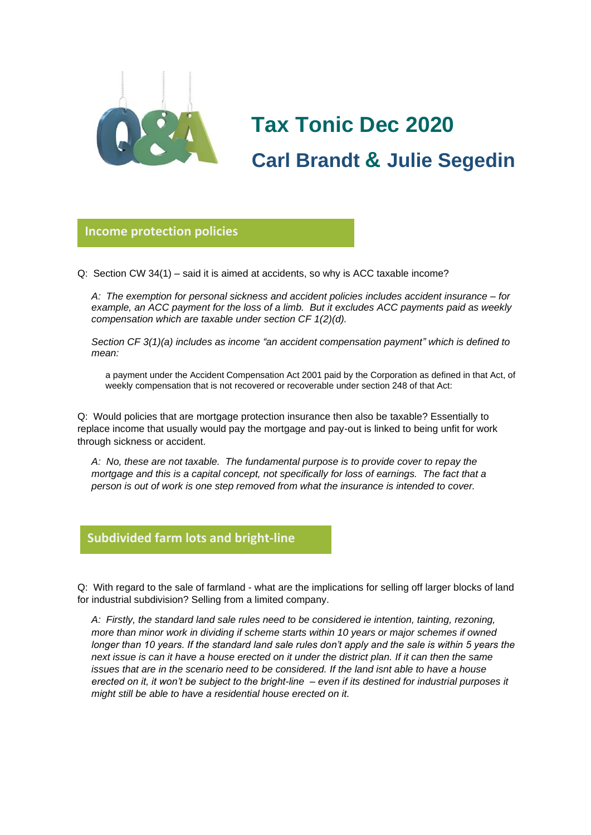

## **Tax Tonic Dec 2020 Carl Brandt & Julie Segedin**

**Income protection policies**

Q: Section CW 34(1) – said it is aimed at accidents, so why is ACC taxable income? **glorio**

*A: The exemption for personal sickness and accident policies includes accident insurance – for example, an ACC payment for the loss of a limb. But it excludes ACC payments paid as weekly compensation which are taxable under section CF 1(2)(d).*

*Section CF 3(1)(a) includes as income "an accident compensation payment" which is defined to mean:*

a payment under the Accident Compensation Act 2001 paid by the Corporation as defined in that Act, of weekly compensation that is not recovered or recoverable under section 248 of that Act:

Q: Would policies that are mortgage protection insurance then also be taxable? Essentially to replace income that usually would pay the mortgage and pay-out is linked to being unfit for work through sickness or accident.

*A: No, these are not taxable. The fundamental purpose is to provide cover to repay the mortgage and this is a capital concept, not specifically for loss of earnings. The fact that a person is out of work is one step removed from what the insurance is intended to cover.*

## **Subdivided farm lots and bright-line**

Q: With regard to the sale of farmland - what are the implications for selling off larger blocks of land **Glorio** for industrial subdivision? Selling from a limited company.

*A: Firstly, the standard land sale rules need to be considered ie intention, tainting, rezoning, more than minor work in dividing if scheme starts within 10 years or major schemes if owned longer than 10 years. If the standard land sale rules don't apply and the sale is within 5 years the next issue is can it have a house erected on it under the district plan. If it can then the same issues that are in the scenario need to be considered. If the land isnt able to have a house erected on it, it won't be subject to the bright-line – even if its destined for industrial purposes it might still be able to have a residential house erected on it.*